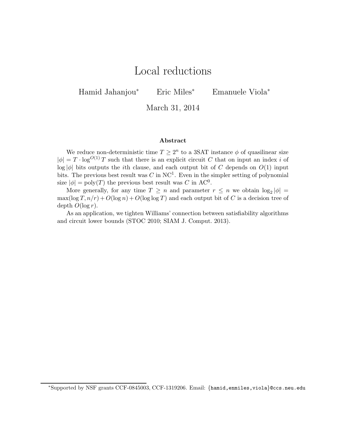# Local reductions

Hamid Jahanjou<sup>∗</sup> Eric Miles<sup>∗</sup> Emanuele Viola<sup>∗</sup>

March 31, 2014

#### Abstract

We reduce non-deterministic time  $T \geq 2^n$  to a 3SAT instance  $\phi$  of quasilinear size  $|\phi| = T \cdot \log^{O(1)} T$  such that there is an explicit circuit C that on input an index i of  $\log |\phi|$  bits outputs the *i*th clause, and each output bit of C depends on  $O(1)$  input bits. The previous best result was  $C$  in NC<sup>1</sup>. Even in the simpler setting of polynomial size  $|\phi| = \text{poly}(T)$  the previous best result was C in AC<sup>0</sup>.

More generally, for any time  $T \geq n$  and parameter  $r \leq n$  we obtain  $\log_2 |\phi| =$  $\max(\log T, n/r) + O(\log n) + O(\log \log T)$  and each output bit of C is a decision tree of depth  $O(\log r)$ .

As an application, we tighten Williams' connection between satisfiability algorithms and circuit lower bounds (STOC 2010; SIAM J. Comput. 2013).

<sup>∗</sup>Supported by NSF grants CCF-0845003, CCF-1319206. Email: {hamid,enmiles,viola}@ccs.neu.edu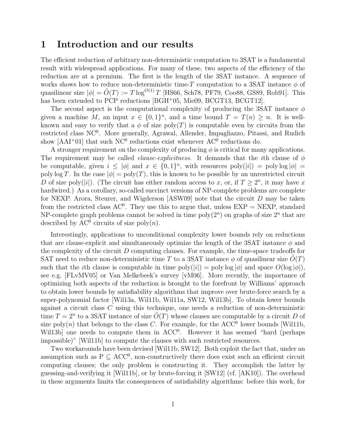# 1 Introduction and our results

The efficient reduction of arbitrary non-deterministic computation to 3SAT is a fundamental result with widespread applications. For many of these, two aspects of the efficiency of the reduction are at a premium. The first is the length of the 3SAT instance. A sequence of works shows how to reduce non-deterministic time-T computation to a 3SAT instance  $\phi$  of quasilinear size  $|\phi| = \tilde{O}(T) := T \log^{O(1)} T$  [HS66, Sch78, PF79, Coo88, GS89, Rob91]. This has been extended to PCP reductions [BGH<sup>+</sup>05, Mie09, BCGT13, BCGT12].

The second aspect is the computational complexity of producing the 3SAT instance  $\phi$ given a machine M, an input  $x \in \{0,1\}^n$ , and a time bound  $T = T(n) \geq n$ . It is wellknown and easy to verify that a  $\phi$  of size poly(T) is computable even by circuits from the restricted class NC<sup>0</sup>. More generally, Agrawal, Allender, Impagliazzo, Pitassi, and Rudich show  $[AAI<sup>+</sup>01]$  that such NC<sup>0</sup> reductions exist whenever  $AC<sup>0</sup>$  reductions do.

A stronger requirement on the complexity of producing  $\phi$  is critical for many applications. The requirement may be called *clause-explicitness*. It demands that the *i*th clause of  $\phi$ be computable, given  $i \leq |\phi|$  and  $x \in \{0,1\}^n$ , with resources poly $(|i|) = \text{poly}\log |\phi|$ poly log T. In the case  $|\phi| = \text{poly}(T)$ , this is known to be possible by an unrestricted circuit D of size poly(|i|). (The circuit has either random access to x, or, if  $T \geq 2^n$ , it may have x hardwired.) As a corollary, so-called succinct versions of NP-complete problems are complete for NEXP. Arora, Steurer, and Wigderson [ASW09] note that the circuit D may be taken from the restricted class  $AC^0$ . They use this to argue that, unless  $EXP = NEXP$ , standard NP-complete graph problems cannot be solved in time  $poly(2^n)$  on graphs of size  $2^n$  that are described by  $AC^0$  circuits of size  $poly(n)$ .

Interestingly, applications to unconditional complexity lower bounds rely on reductions that are clause-explicit and simultaneously optimize the length of the 3SAT instance  $\phi$  and the complexity of the circuit D computing clauses. For example, the time-space tradeoffs for SAT need to reduce non-deterministic time T to a 3SAT instance  $\phi$  of quasilinear size  $O(T)$ such that the *i*th clause is computable in time  $\text{poly}(|i|) = \text{poly}\log |\phi|$  and space  $O(\log |\phi|)$ , see e.g. [FLvMV05] or Van Melkebeek's survey [vM06]. More recently, the importance of optimizing both aspects of the reduction is brought to the forefront by Williams' approach to obtain lower bounds by satisfiability algorithms that improve over brute-force search by a super-polynomial factor [Wil13a, Wil11b, Wil11a, SW12, Wil13b]. To obtain lower bounds against a circuit class  $C$  using this technique, one needs a reduction of non-deterministic time  $T = 2^n$  to a 3SAT instance of size  $\tilde{O}(T)$  whose clauses are computable by a circuit D of size poly $(n)$  that belongs to the class C. For example, for the ACC<sup>0</sup> lower bounds [Wil11b, Will3b] one needs to compute them in ACC<sup>0</sup>. However it has seemed "hard (perhaps impossible)" [Wil11b] to compute the clauses with such restricted resources.

Two workarounds have been devised [Wil11b, SW12]. Both exploit the fact that, under an assumption such as  $P \subseteq ACC^0$ , non-constructively there does exist such an efficient circuit computing clauses; the only problem is constructing it. They accomplish the latter by guessing-and-verifying it [Wil11b], or by brute-forcing it [SW12] (cf. [AK10]). The overhead in these arguments limits the consequences of satisfiability algorithms: before this work, for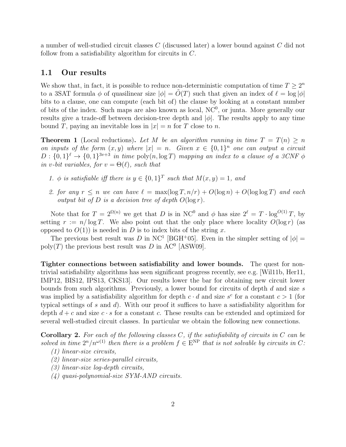a number of well-studied circuit classes C (discussed later) a lower bound against C did not follow from a satisfiability algorithm for circuits in C.

### 1.1 Our results

We show that, in fact, it is possible to reduce non-deterministic computation of time  $T \geq 2^n$ to a 3SAT formula  $\phi$  of quasilinear size  $|\phi| = O(T)$  such that given an index of  $\ell = \log |\phi|$ bits to a clause, one can compute (each bit of) the clause by looking at a constant number of bits of the index. Such maps are also known as local,  $NC<sup>0</sup>$ , or junta. More generally our results give a trade-off between decision-tree depth and  $|\phi|$ . The results apply to any time bound T, paying an inevitable loss in  $|x| = n$  for T close to n.

**Theorem 1** (Local reductions). Let M be an algorithm running in time  $T = T(n) > n$ on inputs of the form  $(x, y)$  where  $|x| = n$ . Given  $x \in \{0, 1\}^n$  one can output a circuit  $D: \{0,1\}^{\ell} \to \{0,1\}^{3v+3}$  in time  $\text{poly}(n, \log T)$  mapping an index to a clause of a 3CNF  $\phi$ in v-bit variables, for  $v = \Theta(\ell)$ , such that

- 1.  $\phi$  is satisfiable iff there is  $y \in \{0,1\}^T$  such that  $M(x,y) = 1$ , and
- 2. for any  $r \leq n$  we can have  $\ell = \max(\log T, n/r) + O(\log n) + O(\log \log T)$  and each output bit of D is a decision tree of depth  $O(\log r)$ .

Note that for  $T = 2^{\Omega(n)}$  we get that D is in NC<sup>0</sup> and  $\phi$  has size  $2^{\ell} = T \cdot \log^{O(1)} T$ , by setting  $r := n/\log T$ . We also point out that the only place where locality  $O(\log r)$  (as opposed to  $O(1)$  is needed in D is to index bits of the string x.

The previous best result was D in NC<sup>1</sup> [BGH<sup>+</sup>05]. Even in the simpler setting of  $|\phi|$  = poly(T) the previous best result was  $D$  in AC<sup>0</sup> [ASW09].

Tighter connections between satisfiability and lower bounds. The quest for nontrivial satisfiability algorithms has seen significant progress recently, see e.g. [Wil11b, Her11, IMP12, BIS12, IPS13, CKS13]. Our results lower the bar for obtaining new circuit lower bounds from such algorithms. Previously, a lower bound for circuits of depth d and size s was implied by a satisfiability algorithm for depth  $c \cdot d$  and size  $s^c$  for a constant  $c > 1$  (for typical settings of s and  $d$ ). With our proof it suffices to have a satisfiability algorithm for depth  $d + c$  and size  $c \cdot s$  for a constant c. These results can be extended and optimized for several well-studied circuit classes. In particular we obtain the following new connections.

**Corollary 2.** For each of the following classes  $C$ , if the satisfiability of circuits in  $C$  can be solved in time  $2^n/n^{\omega(1)}$  then there is a problem  $f \in E^{NP}$  that is not solvable by circuits in C: (1) linear-size circuits,

- 
- (2) linear-size series-parallel circuits, (3) linear-size log-depth circuits,
- (4) quasi-polynomial-size SYM-AND circuits.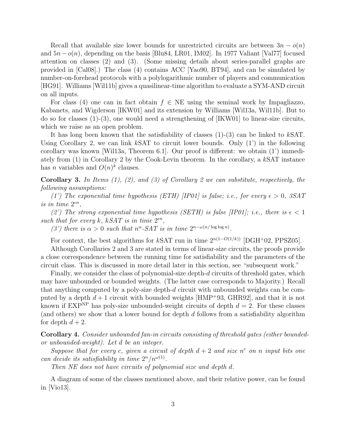Recall that available size lower bounds for unrestricted circuits are between  $3n - o(n)$ and  $5n - o(n)$ , depending on the basis [Blu84, LR01, IM02]. In 1977 Valiant [Val77] focused attention on classes (2) and (3). (Some missing details about series-parallel graphs are provided in [Cal08].) The class (4) contains ACC [Yao90, BT94], and can be simulated by number-on-forehead protocols with a polylogarithmic number of players and communication [HG91]. Williams [Wil11b] gives a quasilinear-time algorithm to evaluate a SYM-AND circuit on all inputs.

For class (4) one can in fact obtain  $f \in NE$  using the seminal work by Impagliazzo, Kabanets, and Wigderson [IKW01] and its extension by Williams [Wil13a, Wil11b]. But to do so for classes  $(1)-(3)$ , one would need a strengthening of [IKW01] to linear-size circuits, which we raise as an open problem.

It has long been known that the satisfiability of classes  $(1)-(3)$  can be linked to kSAT. Using Corollary 2, we can link kSAT to circuit lower bounds. Only  $(1')$  in the following corollary was known [Wil13a, Theorem 6.1]. Our proof is different: we obtain (1') immediately from (1) in Corollary 2 by the Cook-Levin theorem. In the corollary, a kSAT instance has *n* variables and  $O(n)^k$  clauses.

**Corollary 3.** In Items  $(1)$ ,  $(2)$ , and  $(3)$  of Corollary 2 we can substitute, respectively, the following assumptions:

(1') The exponential time hypothesis (ETH) [IP01] is false; i.e., for every  $\epsilon > 0$ , 3SAT is in time  $2^{\epsilon n}$ ,

(2') The strong exponential time hypothesis (SETH) is false [IP01]; i.e., there is  $\epsilon < 1$ such that for every k, kSAT is in time  $2^{\epsilon n}$ ,

(3') there is  $\alpha > 0$  such that  $n^{\alpha}$ -SAT is in time  $2^{n-\omega(n/\log \log n)}$ .

For context, the best algorithms for kSAT run in time  $2^{n(1-O(1/k))}$  [DGH+02, PPSZ05].

Although Corollaries 2 and 3 are stated in terms of linear-size circuits, the proofs provide a close correspondence between the running time for satisfiability and the parameters of the circuit class. This is discussed in more detail later in this section, see "subsequent work."

Finally, we consider the class of polynomial-size depth-d circuits of threshold gates, which may have unbounded or bounded weights. (The latter case corresponds to Majority.) Recall that anything computed by a poly-size depth-d circuit with unbounded weights can be computed by a depth  $d+1$  circuit with bounded weights [HMP+93, GHR92], and that it is not known if  $EXP<sup>NP</sup>$  has poly-size unbounded-weight circuits of depth  $d = 2$ . For these classes (and others) we show that a lower bound for depth d follows from a satisfiability algorithm for depth  $d + 2$ .

Corollary 4. Consider unbounded fan-in circuits consisting of threshold gates (either boundedor unbounded-weight). Let d be an integer.

Suppose that for every c, given a circuit of depth  $d+2$  and size  $n^c$  on n input bits one can decide its satisfiability in time  $2^n/n^{\omega(1)}$ .

Then NE does not have circuits of polynomial size and depth d.

A diagram of some of the classes mentioned above, and their relative power, can be found in [Vio13].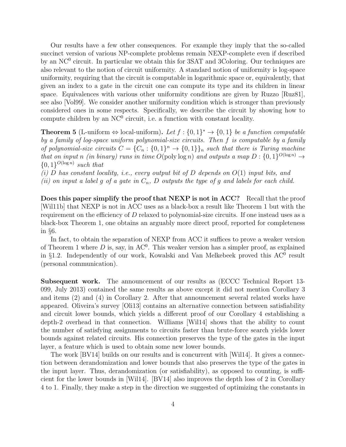Our results have a few other consequences. For example they imply that the so-called succinct version of various NP-complete problems remain NEXP-complete even if described by an NC<sup>0</sup> circuit. In particular we obtain this for 3SAT and 3Coloring. Our techniques are also relevant to the notion of circuit uniformity. A standard notion of uniformity is log-space uniformity, requiring that the circuit is computable in logarithmic space or, equivalently, that given an index to a gate in the circuit one can compute its type and its children in linear space. Equivalences with various other uniformity conditions are given by Ruzzo [Ruz81], see also [Vol99]. We consider another uniformity condition which is stronger than previously considered ones in some respects. Specifically, we describe the circuit by showing how to compute children by an  $NC^0$  circuit, i.e. a function with constant locality.

**Theorem 5** (L-uniform  $\Leftrightarrow$  local-uniform). Let  $f: \{0,1\}^* \rightarrow \{0,1\}$  be a function computable by a family of log-space uniform polynomial-size circuits. Then f is computable by a family of polynomial-size circuits  $C = \{C_n : \{0,1\}^n \to \{0,1\}\}_n$  such that there is Turing machine that on input n (in binary) runs in time  $O(\text{poly}\log n)$  and outputs a map  $D: \{0,1\}^{O(\log n)} \to$  $\{0,1\}^{O(\log n)}$  such that

(i) D has constant locality, i.e., every output bit of D depends on  $O(1)$  input bits, and

(ii) on input a label g of a gate in  $C_n$ , D outputs the type of g and labels for each child.

Does this paper simplify the proof that NEXP is not in ACC? Recall that the proof [Wil11b] that NEXP is not in ACC uses as a black-box a result like Theorem 1 but with the requirement on the efficiency of  $D$  relaxed to polynomial-size circuits. If one instead uses as a black-box Theorem 1, one obtains an arguably more direct proof, reported for completeness in §6.

In fact, to obtain the separation of NEXP from ACC it suffices to prove a weaker version of Theorem 1 where D is, say, in  $AC^0$ . This weaker version has a simpler proof, as explained in §1.2. Independently of our work, Kowalski and Van Melkebeek proved this  $AC^0$  result (personal communication).

Subsequent work. The announcement of our results as (ECCC Technical Report 13- 099, July 2013) contained the same results as above except it did not mention Corollary 3 and items (2) and (4) in Corollary 2. After that announcement several related works have appeared. Oliveira's survey [Oli13] contains an alternative connection between satisfiability and circuit lower bounds, which yields a different proof of our Corollary 4 establishing a depth-2 overhead in that connection. Williams [Wil14] shows that the ability to count the number of satisfying assignments to circuits faster than brute-force search yields lower bounds against related circuits. His connection preserves the type of the gates in the input layer, a feature which is used to obtain some new lower bounds.

The work [BV14] builds on our results and is concurrent with [Wil14]. It gives a connection between derandomization and lower bounds that also preserves the type of the gates in the input layer. Thus, derandomization (or satisfiability), as opposed to counting, is sufficient for the lower bounds in [Wil14]. [BV14] also improves the depth loss of 2 in Corollary 4 to 1. Finally, they make a step in the direction we suggested of optimizing the constants in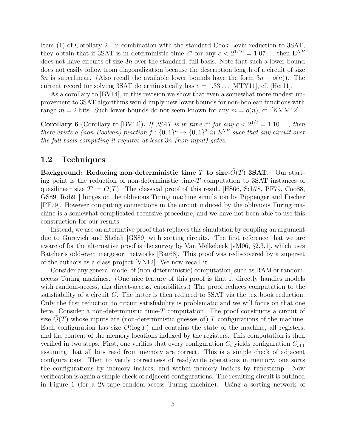Item (1) of Corollary 2. In combination with the standard Cook-Levin reduction to 3SAT, they obtain that if 3SAT is in deterministic time  $c^n$  for any  $c < 2^{1/10} = 1.07...$  then  $E^{NP}$ does not have circuits of size  $3n$  over the standard, full basis. Note that such a lower bound does not easily follow from diagonalization because the description length of a circuit of size 3n is superlinear. (Also recall the available lower bounds have the form  $3n - o(n)$ ). The current record for solving 3SAT deterministically has  $c = 1.33...$  [MTY11], cf. [Her11].

As a corollary to [BV14], in this revision we show that even a somewhat more modest improvement to 3SAT algorithms would imply new lower bounds for non-boolean functions with range  $m = 2$  bits. Such lower bounds do not seem known for any  $m = o(n)$ , cf. [KMM12].

**Corollary 6** (Corollary to [BV14]). If 3SAT is in time  $c^n$  for any  $c < 2^{1/7} = 1.10...$ , then there exists a (non-Boolean) function  $f: \{0,1\}^n \to \{0,1\}^2$  in  $E^{NP}$  such that any circuit over the full basis computing it requires at least 3n (non-input) gates.

### 1.2 Techniques

Background: Reducing non-deterministic time T to size- $\tilde{O}(T)$  3SAT. Our starting point is the reduction of non-deterministic time-T computation to 3SAT instances of quasilinear size  $T' = \tilde{O}(T)$ . The classical proof of this result [HS66, Sch78, PF79, Coo88, GS89, Rob91] hinges on the oblivious Turing machine simulation by Pippenger and Fischer [PF79]. However computing connections in the circuit induced by the oblivious Turing machine is a somewhat complicated recursive procedure, and we have not been able to use this construction for our results.

Instead, we use an alternative proof that replaces this simulation by coupling an argument due to Gurevich and Shelah [GS89] with sorting circuits. The first reference that we are aware of for the alternative proof is the survey by Van Melkebeek [vM06, §2.3.1], which uses Batcher's odd-even mergesort networks [Bat68]. This proof was rediscovered by a superset of the authors as a class project [VN12]. We now recall it.

Consider any general model of (non-deterministic) computation, such as RAM or randomaccess Turing machines. (One nice feature of this proof is that it directly handles models with random-access, aka direct-access, capabilities.) The proof reduces computation to the satisfiability of a circuit C. The latter is then reduced to 3SAT via the textbook reduction. Only the first reduction to circuit satisfiability is problematic and we will focus on that one here. Consider a non-deterministic time-T computation. The proof constructs a circuit of size  $O(T)$  whose inputs are (non-deterministic guesses of) T configurations of the machine. Each configuration has size  $O(\log T)$  and contains the state of the machine, all registers, and the content of the memory locations indexed by the registers. This computation is then verified in two steps. First, one verifies that every configuration  $C_i$  yields configuration  $C_{i+1}$ assuming that all bits read from memory are correct. This is a simple check of adjacent configurations. Then to verify correctness of read/write operations in memory, one sorts the configurations by memory indices, and within memory indices by timestamp. Now verification is again a simple check of adjacent configurations. The resulting circuit is outlined in Figure 1 (for a 2k-tape random-access Turing machine). Using a sorting network of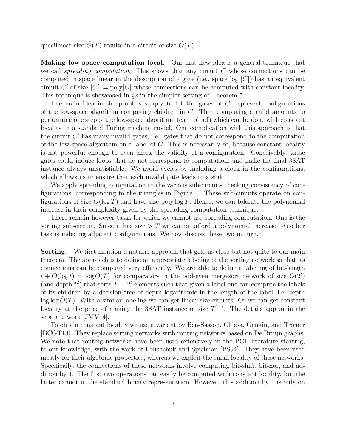quasilinear size  $O(T)$  results in a circuit of size  $O(T)$ .

Making low-space computation local. Our first new idea is a general technique that we call spreading computation. This shows that any circuit  $C$  whose connections can be computed in space linear in the description of a gate (i.e., space  $log |C|$ ) has an equivalent circuit C' of size  $|C'| = \text{poly}|C|$  whose connections can be computed with constant locality. This technique is showcased in §2 in the simpler setting of Theorem 5.

The main idea in the proof is simply to let the gates of  $C'$  represent configurations of the low-space algorithm computing children in C. Then computing a child amounts to performing one step of the low-space algorithm, (each bit of) which can be done with constant locality in a standard Turing machine model. One complication with this approach is that the circuit  $C'$  has many invalid gates, i.e., gates that do not correspond to the computation of the low-space algorithm on a label of C. This is necessarily so, because constant locality is not powerful enough to even check the validity of a configuration. Conceivably, these gates could induce loops that do not correspond to computation, and make the final 3SAT instance always unsatisfiable. We avoid cycles by including a clock in the configurations, which allows us to ensure that each invalid gate leads to a sink.

We apply spreading computation to the various sub-circuits checking consistency of configurations, corresponding to the triangles in Figure 1. These sub-circuits operate on configurations of size  $O(\log T)$  and have size poly log T. Hence, we can tolerate the polynomial increase in their complexity given by the spreading computation technique.

There remain however tasks for which we cannot use spreading computation. One is the sorting sub-circuit. Since it has size  $\geq T$  we cannot afford a polynomial increase. Another task is indexing adjacent configurations. We now discuss these two in turn.

**Sorting.** We first mention a natural approach that gets us close but not quite to our main theorem. The approach is to define an appropriate labeling of the sorting network so that its connections can be computed very efficiently. We are able to define a labeling of bit-length  $t + O(\log t) = \log \tilde{O}(T)$  for comparators in the odd-even mergesort network of size  $\tilde{O}(2^t)$ (and depth  $t^2$ ) that sorts  $T = 2^t$  elements such that given a label one can compute the labels of its children by a decision tree of depth logarithmic in the length of the label, i.e. depth  $\log \log O(T)$ . With a similar labeling we can get linear size circuits. Or we can get constant locality at the price of making the 3SAT instance of size  $T^{1+\epsilon}$ . The details appear in the separate work [JMV14].

To obtain constant locality we use a variant by Ben-Sasson, Chiesa, Genkin, and Tromer [BCGT13]. They replace sorting networks with routing networks based on De Bruijn graphs. We note that routing networks have been used extensively in the PCP literature starting, to our knowledge, with the work of Polishchuk and Spielman [PS94]. They have been used mostly for their algebraic properties, whereas we exploit the small locality of these networks. Specifically, the connections of these networks involve computing bit-shift, bit-xor, and addition by 1. The first two operations can easily be computed with constant locality, but the latter cannot in the standard binary representation. However, this addition by 1 is only on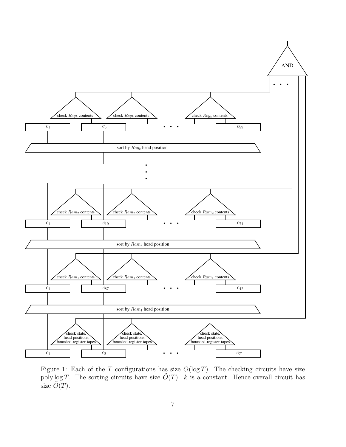

Figure 1: Each of the T configurations has size  $O(\log T)$ . The checking circuits have size poly log T. The sorting circuits have size  $\tilde{O}(T)$ . k is a constant. Hence overall circuit has size  $\tilde{O}(T)$ .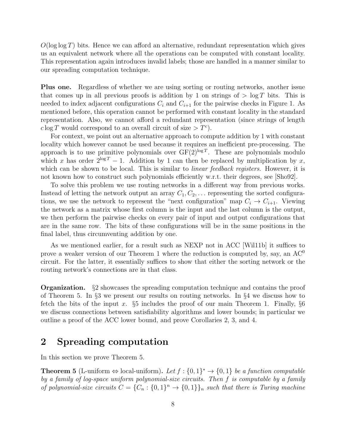$O(\log \log T)$  bits. Hence we can afford an alternative, redundant representation which gives us an equivalent network where all the operations can be computed with constant locality. This representation again introduces invalid labels; those are handled in a manner similar to our spreading computation technique.

Plus one. Regardless of whether we are using sorting or routing networks, another issue that comes up in all previous proofs is addition by 1 on strings of  $> \log T$  bits. This is needed to index adjacent configurations  $C_i$  and  $C_{i+1}$  for the pairwise checks in Figure 1. As mentioned before, this operation cannot be performed with constant locality in the standard representation. Also, we cannot afford a redundant representation (since strings of length  $c \log T$  would correspond to an overall circuit of size  $\geq T^c$ ).

For context, we point out an alternative approach to compute addition by 1 with constant locality which however cannot be used because it requires an inefficient pre-processing. The approach is to use primitive polynomials over  $GF(2)^{\log T}$ . These are polynomials modulo which x has order  $2^{\log T} - 1$ . Addition by 1 can then be replaced by multiplication by x, which can be shown to be local. This is similar to *linear feedback registers*. However, it is not known how to construct such polynomials efficiently w.r.t. their degrees, see [Sho92].

To solve this problem we use routing networks in a different way from previous works. Instead of letting the network output an array  $C_1, C_2, \ldots$  representing the sorted configurations, we use the network to represent the "next configuration" map  $C_i \rightarrow C_{i+1}$ . Viewing the network as a matrix whose first column is the input and the last column is the output, we then perform the pairwise checks on every pair of input and output configurations that are in the same row. The bits of these configurations will be in the same positions in the final label, thus circumventing addition by one.

As we mentioned earlier, for a result such as NEXP not in ACC [Wil11b] it suffices to prove a weaker version of our Theorem 1 where the reduction is computed by, say, an  $AC^0$ circuit. For the latter, it essentially suffices to show that either the sorting network or the routing network's connections are in that class.

Organization. §2 showcases the spreading computation technique and contains the proof of Theorem 5. In §3 we present our results on routing networks. In §4 we discuss how to fetch the bits of the input x.  $\S5$  includes the proof of our main Theorem 1. Finally,  $\S6$ we discuss connections between satisfiability algorithms and lower bounds; in particular we outline a proof of the ACC lower bound, and prove Corollaries 2, 3, and 4.

# 2 Spreading computation

In this section we prove Theorem 5.

**Theorem 5** (L-uniform  $\Leftrightarrow$  local-uniform). Let  $f: \{0,1\}^* \rightarrow \{0,1\}$  be a function computable by a family of log-space uniform polynomial-size circuits. Then f is computable by a family of polynomial-size circuits  $C = \{C_n : \{0,1\}^n \to \{0,1\}\}_n$  such that there is Turing machine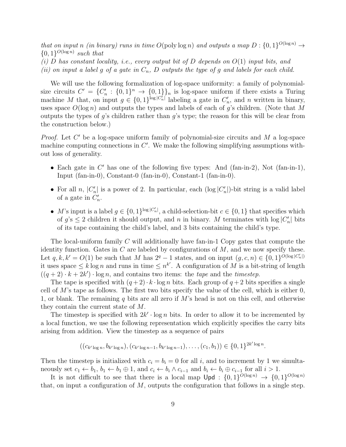that on input n (in binary) runs in time  $O(\text{poly}\log n)$  and outputs a map  $D: \{0,1\}^{O(\log n)} \to$  $\{0,1\}^{O(\log n)}$  such that

- (i) D has constant locality, i.e., every output bit of D depends on  $O(1)$  input bits, and
- (ii) on input a label g of a gate in  $C_n$ , D outputs the type of g and labels for each child.

We will use the following formalization of log-space uniformity: a family of polynomialsize circuits  $C' = \{C'_n : \{0,1\}^n \to \{0,1\}\}_n$  is log-space uniform if there exists a Turing machine M that, on input  $g \in \{0,1\}^{\log |C'_n|}$  labeling a gate in  $C'_n$ , and n written in binary, uses space  $O(\log n)$  and outputs the types and labels of each of g's children. (Note that M outputs the types of  $q$ 's children rather than  $q$ 's type; the reason for this will be clear from the construction below.)

*Proof.* Let  $C'$  be a log-space uniform family of polynomial-size circuits and  $M$  a log-space machine computing connections in  $C'$ . We make the following simplifying assumptions without loss of generality.

- Each gate in  $C'$  has one of the following five types: And (fan-in-2), Not (fan-in-1), Input (fan-in-0), Constant-0 (fan-in-0), Constant-1 (fan-in-0).
- For all n,  $|C'_n|$  is a power of 2. In particular, each  $(\log |C'_n|)$ -bit string is a valid label of a gate in  $C'_n$ .
- M's input is a label  $g \in \{0,1\}^{\log |C'_n|}$ , a child-selection-bit  $c \in \{0,1\}$  that specifies which of  $g$ 's  $\leq$  2 children it should output, and n in binary. M terminates with  $\log|C_n|$  bits of its tape containing the child's label, and 3 bits containing the child's type.

The local-uniform family  $C$  will additionally have fan-in-1 Copy gates that compute the identity function. Gates in  $C$  are labeled by configurations of  $M$ , and we now specify these. Let  $q, k, k' = O(1)$  be such that M has  $2^q - 1$  states, and on input  $(g, c, n) \in \{0, 1\}^{\tilde{O}(\log |C'_n|)}$ it uses space  $\leq k \log n$  and runs in time  $\leq n^{k'}$ . A configuration of M is a bit-string of length  $((q+2)\cdot k+2k')\cdot \log n$ , and contains two items: the *tape* and the *timestep*.

The tape is specified with  $(q+2) \cdot k \cdot \log n$  bits. Each group of  $q+2$  bits specifies a single cell of  $M$ 's tape as follows. The first two bits specify the value of the cell, which is either  $0$ , 1, or blank. The remaining q bits are all zero if  $M$ 's head is not on this cell, and otherwise they contain the current state of M.

The timestep is specified with  $2k' \cdot \log n$  bits. In order to allow it to be incremented by a local function, we use the following representation which explicitly specifies the carry bits arising from addition. View the timestep as a sequence of pairs

$$
((c_{k' \log n}, b_{k' \log n}), (c_{k' \log n-1}, b_{k' \log n-1}), \ldots, (c_1, b_1)) \in \{0, 1\}^{2k' \log n}.
$$

Then the timestep is initialized with  $c_i = b_i = 0$  for all i, and to increment by 1 we simultaneously set  $c_1 \leftarrow b_1$ ,  $b_1 \leftarrow b_1 \oplus 1$ , and  $c_i \leftarrow b_i \wedge c_{i-1}$  and  $b_i \leftarrow b_i \oplus c_{i-1}$  for all  $i > 1$ .

It is not difficult to see that there is a local map  $\bigcup \rho d : \{0,1\}^{O(\log n)} \to \{0,1\}^{O(\log n)}$ that, on input a configuration of  $M$ , outputs the configuration that follows in a single step.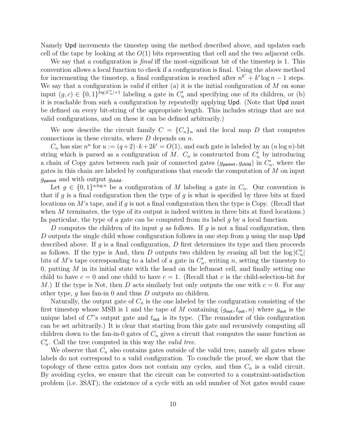Namely Upd increments the timestep using the method described above, and updates each cell of the tape by looking at the  $O(1)$  bits representing that cell and the two adjacent cells.

We say that a configuration is *final* iff the most-significant bit of the timestep is 1. This convention allows a local function to check if a configuration is final. Using the above method for incrementing the timestep, a final configuration is reached after  $n^{k'} + k' \log n - 1$  steps. We say that a configuration is *valid* if either (a) it is the initial configuration of  $M$  on some input  $(g, c) \in \{0, 1\}^{\log |C'_n|+1}$  labeling a gate in  $C'_n$  and specifying one of its children, or (b) it is reachable from such a configuration by repeatedly applying Upd. (Note that Upd must be defined on every bit-string of the appropriate length. This includes strings that are not valid configurations, and on these it can be defined arbitrarily.)

We now describe the circuit family  $C = \{C_n\}_n$  and the local map D that computes connections in these circuits, where  $D$  depends on  $n$ .

 $C_n$  has size  $n^u$  for  $u := (q+2) \cdot k + 2k' = O(1)$ , and each gate is labeled by an  $(u \log n)$ -bit string which is parsed as a configuration of M.  $C_n$  is constructed from  $C'_n$  by introducing a chain of Copy gates between each pair of connected gates  $(g_{\text{parent}}, g_{\text{child}})$  in  $C'_n$ , where the gates in this chain are labeled by configurations that encode the computation of M on input  $g_{\text{parent}}$  and with output  $g_{\text{child}}$ .

Let  $g \in \{0,1\}^{u \log n}$  be a configuration of M labeling a gate in  $C_n$ . Our convention is that if g is a final configuration then the type of g is what is specified by three bits at fixed locations on  $M$ 's tape, and if g is not a final configuration then the type is Copy. (Recall that when M terminates, the type of its output is indeed written in three bits at fixed locations.) In particular, the type of a gate can be computed from its label  $g$  by a local function.

D computes the children of its input g as follows. If g is not a final configuration, then D outputs the single child whose configuration follows in one step from q using the map Upd described above. If g is a final configuration,  $D$  first determines its type and then proceeds as follows. If the type is And, then D outputs two children by erasing all but the  $log |C'_n|$ bits of M's tape corresponding to a label of a gate in  $C'_n$ , writing n, setting the timestep to 0, putting  $M$  in its initial state with the head on the leftmost cell, and finally setting one child to have  $c = 0$  and one child to have  $c = 1$ . (Recall that c is the child-selection-bit for M.) If the type is Not, then D acts similarly but only outputs the one with  $c = 0$ . For any other type,  $g$  has fan-in 0 and thus  $D$  outputs no children.

Naturally, the output gate of  $C_n$  is the one labeled by the configuration consisting of the first timestep whose MSB is 1 and the tape of M containing  $(g_{\text{out}}, t_{\text{out}}, n)$  where  $g_{\text{out}}$  is the unique label of  $C''$ s output gate and  $t_{\text{out}}$  is its type. (The remainder of this configuration can be set arbitrarily.) It is clear that starting from this gate and recursively computing all children down to the fan-in-0 gates of  $C_n$  gives a circuit that computes the same function as  $C_n'$ . Call the tree computed in this way the *valid tree*.

We observe that  $C_n$  also contains gates outside of the valid tree, namely all gates whose labels do not correspond to a valid configuration. To conclude the proof, we show that the topology of these extra gates does not contain any cycles, and thus  $C_n$  is a valid circuit. By avoiding cycles, we ensure that the circuit can be converted to a constraint-satisfaction problem (i.e. 3SAT); the existence of a cycle with an odd number of Not gates would cause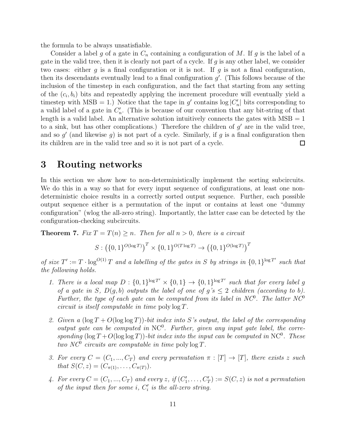the formula to be always unsatisfiable.

Consider a label g of a gate in  $C_n$  containing a configuration of M. If g is the label of a gate in the valid tree, then it is clearly not part of a cycle. If  $g$  is any other label, we consider two cases: either g is a final configuration or it is not. If g is not a final configuration, then its descendants eventually lead to a final configuration  $g'$ . (This follows because of the inclusion of the timestep in each configuration, and the fact that starting from any setting of the  $(c_i, b_i)$  bits and repeatedly applying the increment procedure will eventually yield a timestep with MSB = 1.) Notice that the tape in  $g'$  contains  $\log|C'_n|$  bits corresponding to a valid label of a gate in  $C'_n$ . (This is because of our convention that any bit-string of that length is a valid label. An alternative solution intuitively connects the gates with  $MSB = 1$ to a sink, but has other complications.) Therefore the children of  $g'$  are in the valid tree, and so  $g'$  (and likewise  $g$ ) is not part of a cycle. Similarly, if  $g$  is a final configuration then its children are in the valid tree and so it is not part of a cycle.  $\Box$ 

### 3 Routing networks

In this section we show how to non-deterministically implement the sorting subcircuits. We do this in a way so that for every input sequence of configurations, at least one nondeterministic choice results in a correctly sorted output sequence. Further, each possible output sequence either is a permutation of the input or contains at least one "dummy configuration" (wlog the all-zero string). Importantly, the latter case can be detected by the configuration-checking subcircuits.

**Theorem 7.** Fix  $T = T(n) \geq n$ . Then for all  $n > 0$ , there is a circuit

$$
S: \left(\{0,1\}^{O(\log T)}\right)^T \times \{0,1\}^{O(T\log T)} \rightarrow \left(\{0,1\}^{O(\log T)}\right)^T
$$

of size  $T' := T \cdot \log^{O(1)} T$  and a labelling of the gates in S by strings in  $\{0, 1\}^{\log T'}$  such that the following holds.

- 1. There is a local map  $D: \{0,1\}^{\log T'} \times \{0,1\} \to \{0,1\}^{\log T'}$  such that for every label g of a gate in S,  $D(g, b)$  outputs the label of one of  $g's \leq 2$  children (according to b). Further, the type of each gate can be computed from its label in  $NC^0$ . The latter  $NC^0$ circuit is itself computable in time poly log T.
- 2. Given a  $(\log T + O(\log \log T))$ -bit index into S's output, the label of the corresponding output gate can be computed in  $NC^0$ . Further, given any input gate label, the corresponding  $(\log T + O(\log \log T))$ -bit index into the input can be computed in NC<sup>0</sup>. These two NC<sup>0</sup> circuits are computable in time poly  $\log T$ .
- 3. For every  $C = (C_1, ..., C_T)$  and every permutation  $\pi : [T] \to [T]$ , there exists z such that  $S(C, z) = (C_{\pi(1)}, \ldots, C_{\pi(T)})$ .
- 4. For every  $C = (C_1, ..., C_T)$  and every z, if  $(C'_1, ..., C'_T) := S(C, z)$  is not a permutation of the input then for some  $i$ ,  $C_i'$  is the all-zero string.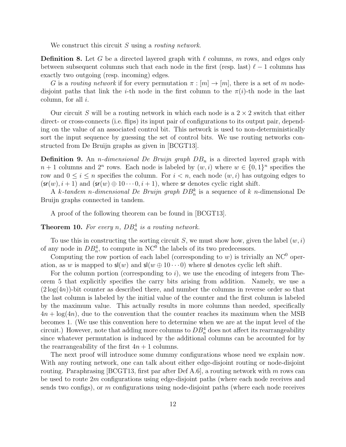We construct this circuit  $S$  using a *routing network*.

**Definition 8.** Let G be a directed layered graph with  $\ell$  columns, m rows, and edges only between subsequent columns such that each node in the first (resp. last)  $\ell - 1$  columns has exactly two outgoing (resp. incoming) edges.

G is a routing network if for every permutation  $\pi : [m] \to [m]$ , there is a set of m nodedisjoint paths that link the *i*-th node in the first column to the  $\pi(i)$ -th node in the last column, for all  $i$ .

Our circuit S will be a routing network in which each node is a  $2 \times 2$  switch that either direct- or cross-connects (i.e. flips) its input pair of configurations to its output pair, depending on the value of an associated control bit. This network is used to non-deterministically sort the input sequence by guessing the set of control bits. We use routing networks constructed from De Bruijn graphs as given in [BCGT13].

**Definition 9.** An *n*-dimensional De Bruijn graph  $DB_n$  is a directed layered graph with  $n+1$  columns and  $2^n$  rows. Each node is labeled by  $(w, i)$  where  $w \in \{0, 1\}^n$  specifies the row and  $0 \leq i \leq n$  specifies the column. For  $i < n$ , each node  $(w, i)$  has outgoing edges to  $(\mathsf{sr}(w), i + 1)$  and  $(\mathsf{sr}(w) \oplus 10 \cdots 0, i + 1)$ , where sr denotes cyclic right shift.

A k-tandem n-dimensional De Bruijn graph  $DB_n^k$  is a sequence of k n-dimensional De Bruijn graphs connected in tandem.

A proof of the following theorem can be found in [BCGT13].

**Theorem 10.** For every n,  $DB_n^4$  is a routing network.

To use this in constructing the sorting circuit  $S$ , we must show how, given the label  $(w, i)$ of any node in  $DB_n^4$ , to compute in NC<sup>0</sup> the labels of its two predecessors.

Computing the row portion of each label (corresponding to  $w$ ) is trivially an NC<sup>0</sup> operation, as w is mapped to  $\mathsf{s}(w)$  and  $\mathsf{s}(w \oplus 10 \cdots 0)$  where sl denotes cyclic left shift.

For the column portion (corresponding to  $i$ ), we use the encoding of integers from Theorem 5 that explicitly specifies the carry bits arising from addition. Namely, we use a  $(2\log(4n))$ -bit counter as described there, and number the columns in reverse order so that the last column is labeled by the initial value of the counter and the first column is labeled by the maximum value. This actually results in more columns than needed, specifically  $4n + \log(4n)$ , due to the convention that the counter reaches its maximum when the MSB becomes 1. (We use this convention here to determine when we are at the input level of the circuit.) However, note that adding more columns to  $DB_n^4$  does not affect its rearrangeability since whatever permutation is induced by the additional columns can be accounted for by the rearrangeability of the first  $4n + 1$  columns.

The next proof will introduce some dummy configurations whose need we explain now. With any routing network, one can talk about either edge-disjoint routing or node-disjoint routing. Paraphrasing  $[BCGT13,$  first par after Def A.6, a routing network with m rows can be used to route  $2m$  configurations using edge-disjoint paths (where each node receives and sends two configs), or m configurations using node-disjoint paths (where each node receives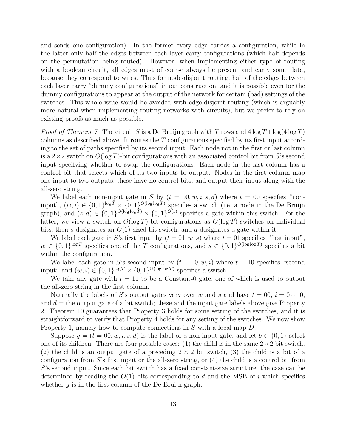and sends one configuration). In the former every edge carries a configuration, while in the latter only half the edges between each layer carry configurations (which half depends on the permutation being routed). However, when implementing either type of routing with a boolean circuit, all edges must of course always be present and carry some data, because they correspond to wires. Thus for node-disjoint routing, half of the edges between each layer carry "dummy configurations" in our construction, and it is possible even for the dummy configurations to appear at the output of the network for certain (bad) settings of the switches. This whole issue would be avoided with edge-disjoint routing (which is arguably more natural when implementing routing networks with circuits), but we prefer to rely on existing proofs as much as possible.

*Proof of Theorem 7.* The circuit S is a De Bruijn graph with T rows and  $4 \log T + \log(4 \log T)$ columns as described above. It routes the  $T$  configurations specified by its first input according to the set of paths specified by its second input. Each node not in the first or last column is a  $2\times 2$  switch on  $O(\log T)$ -bit configurations with an associated control bit from S's second input specifying whether to swap the configurations. Each node in the last column has a control bit that selects which of its two inputs to output. Nodes in the first column map one input to two outputs; these have no control bits, and output their input along with the all-zero string.

We label each non-input gate in S by  $(t = 00, w, i, s, d)$  where  $t = 00$  specifies "noninput",  $(w, i) \in \{0, 1\}^{\log T} \times \{0, 1\}^{O(\log \log T)}$  specifies a switch (i.e. a node in the De Bruijn graph), and  $(s, d) \in \{0, 1\}^{O(\log \log T)} \times \{0, 1\}^{O(1)}$  specifies a gate within this switch. For the latter, we view a switch on  $O(\log T)$ -bit configurations as  $O(\log T)$  switches on individual bits; then s designates an  $O(1)$ -sized bit switch, and d designates a gate within it.

We label each gate in S's first input by  $(t = 0.0, w, s)$  where  $t = 0.01$  specifies "first input",  $w \in \{0,1\}^{\log T}$  specifies one of the T configurations, and  $s \in \{0,1\}^{O(\log \log T)}$  specifies a bit within the configuration.

We label each gate in S's second input by  $(t = 10, w, i)$  where  $t = 10$  specifies "second" input" and  $(w, i) \in \{0, 1\}^{\log T} \times \{0, 1\}^{O(\log \log T)}$  specifies a switch.

We take any gate with  $t = 11$  to be a Constant-0 gate, one of which is used to output the all-zero string in the first column.

Naturally the labels of S's output gates vary over w and s and have  $t = 00$ ,  $i = 0 \cdots 0$ , and  $d =$  the output gate of a bit switch; these and the input gate labels above give Property 2. Theorem 10 guarantees that Property 3 holds for some setting of the switches, and it is straightforward to verify that Property 4 holds for any setting of the switches. We now show Property 1, namely how to compute connections in S with a local map D.

Suppose  $g = (t = 00, w, i, s, d)$  is the label of a non-input gate, and let  $b \in \{0, 1\}$  select one of its children. There are four possible cases: (1) the child is in the same  $2 \times 2$  bit switch, (2) the child is an output gate of a preceding  $2 \times 2$  bit switch, (3) the child is a bit of a configuration from  $S$ 's first input or the all-zero string, or  $(4)$  the child is a control bit from S's second input. Since each bit switch has a fixed constant-size structure, the case can be determined by reading the  $O(1)$  bits corresponding to d and the MSB of i which specifies whether  $g$  is in the first column of the De Bruijn graph.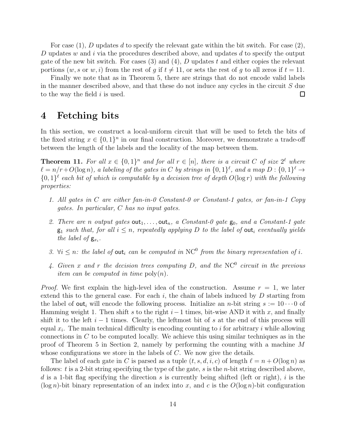For case  $(1)$ , D updates d to specify the relevant gate within the bit switch. For case  $(2)$ , D updates w and i via the procedures described above, and updates d to specify the output gate of the new bit switch. For cases  $(3)$  and  $(4)$ , D updates t and either copies the relevant portions  $(w, s \text{ or } w, i)$  from the rest of g if  $t \neq 11$ , or sets the rest of g to all zeros if  $t = 11$ .

Finally we note that as in Theorem 5, there are strings that do not encode valid labels in the manner described above, and that these do not induce any cycles in the circuit  $S$  due to the way the field  $i$  is used.  $\Box$ 

# 4 Fetching bits

In this section, we construct a local-uniform circuit that will be used to fetch the bits of the fixed string  $x \in \{0,1\}^n$  in our final construction. Moreover, we demonstrate a trade-off between the length of the labels and the locality of the map between them.

**Theorem 11.** For all  $x \in \{0,1\}^n$  and for all  $r \in [n]$ , there is a circuit C of size  $2^{\ell}$  where  $\ell = n/r + O(\log n)$ , a labeling of the gates in C by strings in  $\{0,1\}^{\ell}$ , and a map  $D: \{0,1\}^{\ell} \to$  ${0,1}^{\ell}$  each bit of which is computable by a decision tree of depth  $O(\log r)$  with the following properties:

- 1. All gates in C are either fan-in-0 Constant-0 or Constant-1 gates, or fan-in-1 Copy gates. In particular, C has no input gates.
- 2. There are n output gates  $out_1, \ldots, out_n$ , a Constant-0 gate  $g_0$ , and a Constant-1 gate  $g_1$  such that, for all  $i \leq n$ , repeatedly applying D to the label of out<sub>i</sub> eventually yields the label of  $g_{x_i}$ .
- 3.  $\forall i \leq n$ : the label of out<sub>i</sub> can be computed in NC<sup>0</sup> from the binary representation of i.
- 4. Given x and r the decision trees computing  $D$ , and the NC<sup>0</sup> circuit in the previous *item can be computed in time*  $\text{poly}(n)$ .

*Proof.* We first explain the high-level idea of the construction. Assume  $r = 1$ , we later extend this to the general case. For each  $i$ , the chain of labels induced by  $D$  starting from the label of out<sub>i</sub> will encode the following process. Initialize an *n*-bit string  $s := 10 \cdots 0$  of Hamming weight 1. Then shift s to the right  $i-1$  times, bit-wise AND it with x, and finally shift it to the left  $i - 1$  times. Clearly, the leftmost bit of s at the end of this process will equal  $x_i$ . The main technical difficulty is encoding counting to i for arbitrary i while allowing connections in  $C$  to be computed locally. We achieve this using similar techniques as in the proof of Theorem 5 in Section 2, namely by performing the counting with a machine M whose configurations we store in the labels of  $C$ . We now give the details.

The label of each gate in C is parsed as a tuple  $(t, s, d, i, c)$  of length  $\ell = n + O(\log n)$  as follows:  $t$  is a 2-bit string specifying the type of the gate,  $s$  is the  $n$ -bit string described above, d is a 1-bit flag specifying the direction s is currently being shifted (left or right), i is the  $(\log n)$ -bit binary representation of an index into x, and c is the  $O(\log n)$ -bit configuration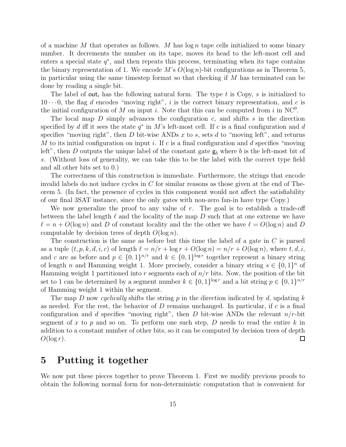of a machine M that operates as follows. M has  $\log n$  tape cells initialized to some binary number. It decrements the number on its tape, moves its head to the left-most cell and enters a special state  $q^*$ , and then repeats this process, terminating when its tape contains the binary representation of 1. We encode M's  $O(\log n)$ -bit configurations as in Theorem 5, in particular using the same timestep format so that checking if  $M$  has terminated can be done by reading a single bit.

The label of out<sub>i</sub> has the following natural form. The type t is Copy, s is initialized to  $10 \cdots 0$ , the flag d encodes "moving right", i is the correct binary representation, and c is the initial configuration of M on input i. Note that this can be computed from i in  $NC^0$ .

The local map  $D$  simply advances the configuration  $c$ , and shifts  $s$  in the direction specified by d iff it sees the state  $q^*$  in M's left-most cell. If c is a final configuration and d specifies "moving right", then  $D$  bit-wise ANDs  $x$  to  $s$ , sets  $d$  to "moving left", and returns M to its initial configuration on input i. If c is a final configuration and d specifies "moving" left", then D outputs the unique label of the constant gate  $g_b$  where b is the left-most bit of s. (Without loss of generality, we can take this to be the label with the correct type field and all other bits set to 0.)

The correctness of this construction is immediate. Furthermore, the strings that encode invalid labels do not induce cycles in  $C$  for similar reasons as those given at the end of Theorem 5. (In fact, the presence of cycles in this component would not affect the satisfiability of our final 3SAT instance, since the only gates with non-zero fan-in have type Copy.)

We now generalize the proof to any value of  $r$ . The goal is to establish a trade-off between the label length  $\ell$  and the locality of the map D such that at one extreme we have  $\ell = n + O(\log n)$  and D of constant locality and the the other we have  $\ell = O(\log n)$  and D computable by decision trees of depth  $O(\log n)$ .

The construction is the same as before but this time the label of a gate in  $C$  is parsed as a tuple  $(t, p, k, d, i, c)$  of length  $\ell = n/r + \log r + O(\log n) = n/r + O(\log n)$ , where  $t, d, i$ , and c are as before and  $p \in \{0,1\}^{n/r}$  and  $k \in \{0,1\}^{\log r}$  together represent a binary string of length n and Hamming weight 1. More precisely, consider a binary string  $s \in \{0,1\}^n$  of Hamming weight 1 partitioned into r segments each of  $n/r$  bits. Now, the position of the bit set to 1 can be determined by a segment number  $k \in \{0,1\}^{\log r}$  and a bit string  $p \in \{0,1\}^{n/r}$ of Hamming weight 1 within the segment.

The map D now cyclically shifts the string p in the direction indicated by d, updating k as needed. For the rest, the behavior of  $D$  remains unchanged. In particular, if  $c$  is a final configuration and d specifies "moving right", then D bit-wise ANDs the relevant  $n/r$ -bit segment of x to p and so on. To perform one such step, D needs to read the entire  $k$  in addition to a constant number of other bits, so it can be computed by decision trees of depth  $O(\log r)$ .  $\Box$ 

# 5 Putting it together

We now put these pieces together to prove Theorem 1. First we modify previous proofs to obtain the following normal form for non-deterministic computation that is convenient for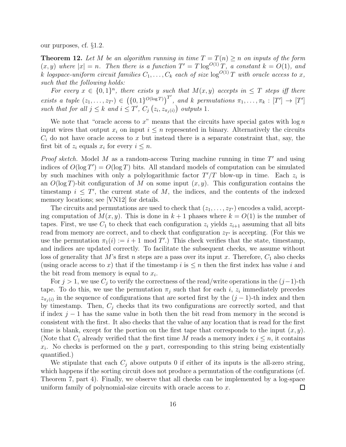our purposes, cf. §1.2.

**Theorem 12.** Let M be an algorithm running in time  $T = T(n) \geq n$  on inputs of the form  $(x, y)$  where  $|x| = n$ . Then there is a function  $T' = T \log^{O(1)} T$ , a constant  $k = O(1)$ , and k logspace-uniform circuit families  $C_1, \ldots, C_k$  each of size  $\log^{O(1)} T$  with oracle access to x, such that the following holds:

For every  $x \in \{0,1\}^n$ , there exists y such that  $M(x,y)$  accepts in  $\leq T$  steps iff there exists a tuple  $(z_1, \ldots, z_{T'}) \in (\{0, 1\}^{O(\log T)})^{T'}$ , and k permutations  $\pi_1, \ldots, \pi_k : [T'] \rightarrow [T']$ such that for all  $j \leq k$  and  $i \leq T'$ ,  $C_j(z_i, z_{\pi_j(i)})$  outputs 1.

We note that "oracle access to x" means that the circuits have special gates with  $\log n$ input wires that output  $x_i$  on input  $i \leq n$  represented in binary. Alternatively the circuits  $C_i$  do not have oracle access to x but instead there is a separate constraint that, say, the first bit of  $z_i$  equals  $x_i$  for every  $i \leq n$ .

*Proof sketch.* Model  $M$  as a random-access Turing machine running in time  $T'$  and using indices of  $O(\log T) = O(\log T)$  bits. All standard models of computation can be simulated by such machines with only a polylogarithmic factor  $T'/T$  blow-up in time. Each  $z_i$  is an  $O(\log T)$ -bit configuration of M on some input  $(x, y)$ . This configuration contains the timestamp  $i \leq T'$ , the current state of M, the indices, and the contents of the indexed memory locations; see [VN12] for details.

The circuits and permutations are used to check that  $(z_1, \ldots, z_{T'})$  encodes a valid, accepting computation of  $M(x, y)$ . This is done in  $k + 1$  phases where  $k = O(1)$  is the number of tapes. First, we use  $C_1$  to check that each configuration  $z_i$  yields  $z_{i+1}$  assuming that all bits read from memory are correct, and to check that configuration  $z_{T'}$  is accepting. (For this we use the permutation  $\pi_1(i) := i + 1 \mod T'$ . This check verifies that the state, timestamp, and indices are updated correctly. To facilitate the subsequent checks, we assume without loss of generality that M's first n steps are a pass over its input x. Therefore,  $C_1$  also checks (using oracle access to x) that if the timestamp i is  $\leq n$  then the first index has value i and the bit read from memory is equal to  $x_i$ .

For  $j > 1$ , we use  $C_j$  to verify the correctness of the read/write operations in the  $(j-1)$ -th tape. To do this, we use the permutation  $\pi_j$  such that for each i,  $z_i$  immediately precedes  $z_{\pi_j(i)}$  in the sequence of configurations that are sorted first by the  $(j-1)$ -th index and then by timestamp. Then,  $C_i$  checks that its two configurations are correctly sorted, and that if index  $j-1$  has the same value in both then the bit read from memory in the second is consistent with the first. It also checks that the value of any location that is read for the first time is blank, except for the portion on the first tape that corresponds to the input  $(x, y)$ . (Note that  $C_1$  already verified that the first time M reads a memory index  $i \leq n$ , it contains  $x_i$ . No checks is performed on the y part, corresponding to this string being existentially quantified.)

We stipulate that each  $C_i$  above outputs 0 if either of its inputs is the all-zero string, which happens if the sorting circuit does not produce a permutation of the configurations (cf. Theorem 7, part 4). Finally, we observe that all checks can be implemented by a log-space uniform family of polynomial-size circuits with oracle access to x.  $\Box$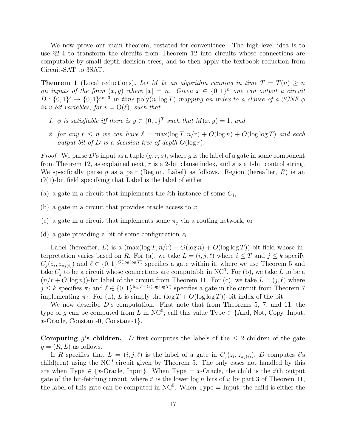We now prove our main theorem, restated for convenience. The high-level idea is to use §2-4 to transform the circuits from Theorem 12 into circuits whose connections are computable by small-depth decision trees, and to then apply the textbook reduction from Circuit-SAT to 3SAT.

**Theorem 1** (Local reductions). Let M be an algorithm running in time  $T = T(n) \geq n$ on inputs of the form  $(x, y)$  where  $|x| = n$ . Given  $x \in \{0, 1\}^n$  one can output a circuit  $D: \{0,1\}^{\ell} \to \{0,1\}^{3v+3}$  in time  $\text{poly}(n, \log T)$  mapping an index to a clause of a 3CNF  $\phi$ in v-bit variables, for  $v = \Theta(\ell)$ , such that

- 1.  $\phi$  is satisfiable iff there is  $y \in \{0,1\}^T$  such that  $M(x,y) = 1$ , and
- 2. for any  $r \leq n$  we can have  $\ell = \max(\log T, n/r) + O(\log n) + O(\log \log T)$  and each output bit of D is a decision tree of depth  $O(\log r)$ .

*Proof.* We parse D's input as a tuple  $(q, r, s)$ , where g is the label of a gate in some component from Theorem 12, as explained next,  $r$  is a 2-bit clause index, and  $s$  is a 1-bit control string. We specifically parse g as a pair (Region, Label) as follows. Region (hereafter,  $R$ ) is an  $O(1)$ -bit field specifying that Label is the label of either

- (a) a gate in a circuit that implements the *i*th instance of some  $C_j$ ,
- (b) a gate in a circuit that provides oracle access to  $x$ ,
- (c) a gate in a circuit that implements some  $\pi_i$  via a routing network, or
- (d) a gate providing a bit of some configuration  $z_i$ .

Label (hereafter, L) is a  $(\max(\log T, n/r) + O(\log n) + O(\log \log T))$ -bit field whose interpretation varies based on R. For (a), we take  $L = (i, j, \ell)$  where  $i \leq T$  and  $j \leq k$  specify  $C_j(z_i, z_{\pi_j(i)})$  and  $\ell \in \{0,1\}^{O(\log \log T)}$  specifies a gate within it, where we use Theorem 5 and take  $C_j$  to be a circuit whose connections are computable in NC<sup>0</sup>. For (b), we take L to be a  $(n/r + O(\log n))$ -bit label of the circuit from Theorem 11. For (c), we take  $L = (j, \ell)$  where  $j \leq k$  specifies  $\pi_j$  and  $\ell \in \{0,1\}^{\log T + O(\log \log T)}$  specifies a gate in the circuit from Theorem 7 implementing  $\pi_j$ . For (d), L is simply the  $(\log T + O(\log \log T))$ -bit index of the bit.

We now describe  $D$ 's computation. First note that from Theorems 5, 7, and 11, the type of g can be computed from L in NC<sup>0</sup>; call this value Type  $\in \{\text{And, Not, Copy, Input,}\}$ x-Oracle, Constant-0, Constant-1}.

**Computing g's children.** D first computes the labels of the  $\leq 2$  children of the gate  $g = (R, L)$  as follows.

If R specifies that  $L = (i, j, \ell)$  is the label of a gate in  $C_j(z_i, z_{\pi_j(i)})$ , D computes  $\ell$ 's child(ren) using the  $NC^0$  circuit given by Theorem 5. The only cases not handled by this are when Type  $\in \{x\text{-Oracle}, \text{ Input}\}\$ . When Type  $= x\text{-Oracle},$  the child is the i'th output gate of the bit-fetching circuit, where i' is the lower  $\log n$  bits of i; by part 3 of Theorem 11, the label of this gate can be computed in  $NC^0$ . When Type = Input, the child is either the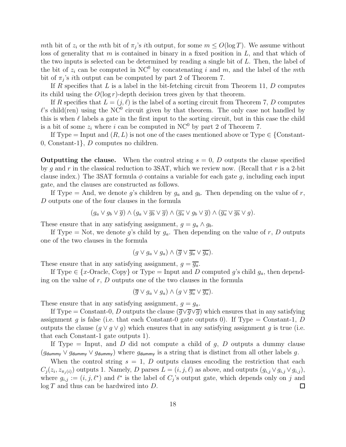mth bit of  $z_i$  or the mth bit of  $\pi_j$ 's *i*th output, for some  $m \leq O(\log T)$ . We assume without loss of generality that m is contained in binary in a fixed position in  $L$ , and that which of the two inputs is selected can be determined by reading a single bit of L. Then, the label of the bit of  $z_i$  can be computed in NC<sup>0</sup> by concatenating i and m, and the label of the mth bit of  $\pi_j$ 's *i*th output can be computed by part 2 of Theorem 7.

If R specifies that L is a label in the bit-fetching circuit from Theorem 11, D computes its child using the  $O(\log r)$ -depth decision trees given by that theorem.

If R specifies that  $L = (j, \ell)$  is the label of a sorting circuit from Theorem 7, D computes  $\ell$ 's child(ren) using the NC<sup>0</sup> circuit given by that theorem. The only case not handled by this is when  $\ell$  labels a gate in the first input to the sorting circuit, but in this case the child is a bit of some  $z_i$  where i can be computed in NC<sup>0</sup> by part 2 of Theorem 7.

If Type = Input and  $(R, L)$  is not one of the cases mentioned above or Type  $\in \{Constant$ -0, Constant-1}, D computes no children.

**Outputting the clause.** When the control string  $s = 0$ , D outputs the clause specified by g and r in the classical reduction to 3SAT, which we review now. (Recall that r is a 2-bit clause index.) The 3SAT formula  $\phi$  contains a variable for each gate g, including each input gate, and the clauses are constructed as follows.

If Type = And, we denote g's children by  $g_a$  and  $g_b$ . Then depending on the value of r, D outputs one of the four clauses in the formula

$$
(g_a \vee g_b \vee \overline{g}) \wedge (g_a \vee \overline{g_b} \vee \overline{g}) \wedge (\overline{g_a} \vee g_b \vee \overline{g}) \wedge (\overline{g_a} \vee \overline{g_b} \vee g).
$$

These ensure that in any satisfying assignment,  $g = g_a \wedge g_b$ .

If Type = Not, we denote g's child by  $g_a$ . Then depending on the value of r, D outputs one of the two clauses in the formula

$$
(g \vee g_a \vee g_a) \wedge (\overline{g} \vee \overline{g_a} \vee \overline{g_a}).
$$

These ensure that in any satisfying assignment,  $g = \overline{g_a}$ .

If Type  $\in \{x\text{-Oracle},\text{Copy}\}\$  or Type = Input and D computed g's child  $g_a$ , then depending on the value of  $r, D$  outputs one of the two clauses in the formula

$$
(\overline{g} \vee g_a \vee g_a) \wedge (g \vee \overline{g_a} \vee \overline{g_a}).
$$

These ensure that in any satisfying assignment,  $g = g_a$ .

If Type = Constant-0, D outputs the clause  $(\overline{g}\vee \overline{g}\vee \overline{g})$  which ensures that in any satisfying assignment g is false (i.e. that each Constant-0 gate outputs 0). If Type  $=$  Constant-1, D outputs the clause  $(g \vee g \vee g)$  which ensures that in any satisfying assignment g is true (i.e. that each Constant-1 gate outputs 1).

If Type  $=$  Input, and D did not compute a child of g, D outputs a dummy clause  $(g_{\text{dummy}} \vee g_{\text{dummy}} \vee g_{\text{dummy}})$  where  $g_{\text{dummy}}$  is a string that is distinct from all other labels g.

When the control string  $s = 1, D$  outputs clauses encoding the restriction that each  $C_j(z_i, z_{\pi_j(i)})$  outputs 1. Namely, D parses  $L = (i, j, \ell)$  as above, and outputs  $(g_{i,j} \vee g_{i,j} \vee g_{i,j}),$ where  $g_{i,j} := (i, j, \ell^*)$  and  $\ell^*$  is the label of  $C_j$ 's output gate, which depends only on j and  $log T$  and thus can be hardwired into D.  $\Box$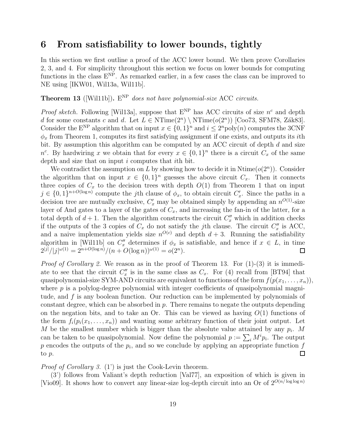# 6 From satisfiability to lower bounds, tightly

In this section we first outline a proof of the ACC lower bound. We then prove Corollaries 2, 3, and 4. For simplicity throughout this section we focus on lower bounds for computing functions in the class  $E^{NP}$ . As remarked earlier, in a few cases the class can be improved to NE using [IKW01, Wil13a, Wil11b].

**Theorem 13** ([Wil11b]).  $E^{NP}$  does not have polynomial-size ACC circuits.

*Proof sketch.* Following [Wil13a], suppose that  $E^{NP}$  has ACC circuits of size  $n^c$  and depth d for some constants c and d. Let  $L \in \mathrm{NTime}(2^n) \setminus \mathrm{NTime}(o(2^n))$  [Coo73, SFM78, Zák83]. Consider the E<sup>NP</sup> algorithm that on input  $x \in \{0,1\}^n$  and  $i \leq 2^n$  poly $(n)$  computes the 3CNF  $\phi_x$  from Theorem 1, computes its first satisfying assignment if one exists, and outputs its *i*th bit. By assumption this algorithm can be computed by an ACC circuit of depth d and size  $n^c$ . By hardwiring x we obtain that for every  $x \in \{0,1\}^n$  there is a circuit  $C_x$  of the same depth and size that on input i computes that ith bit.

We contradict the assumption on L by showing how to decide it in  $\text{Ntime}(o(2^n))$ . Consider the algorithm that on input  $x \in \{0,1\}^n$  guesses the above circuit  $C_x$ . Then it connects three copies of  $C_x$  to the decision trees with depth  $O(1)$  from Theorem 1 that on input  $j \in \{0,1\}^{n+O(\log n)}$  compute the j<sup>th</sup> clause of  $\phi_x$ , to obtain circuit  $C'_x$ . Since the paths in a decision tree are mutually exclusive,  $C'_x$  may be obtained simply by appending an  $n^{O(1)}$ -size layer of And gates to a layer of the gates of  $C_x$ , and increasing the fan-in of the latter, for a total depth of  $d+1$ . Then the algorithm constructs the circuit  $C''_x$  which in addition checks if the outputs of the 3 copies of  $C_x$  do not satisfy the jth clause. The circuit  $C''_x$  is ACC, and a naive implementation yields size  $n^{O(c)}$  and depth  $d+3$ . Running the satisfiability algorithm in [Wil11b] on  $C''_x$  determines if  $\phi_x$  is satisfiable, and hence if  $x \in L$ , in time  $2^{|j|}/|j|^{\omega(1)} = 2^{n+O(\log n)}/(n+O(\log n))^{\omega(1)} = o(2^n).$  $\Box$ 

*Proof of Corollary 2.* We reason as in the proof of Theorem 13. For  $(1)-(3)$  it is immediate to see that the circuit  $C''_x$  is in the same class as  $C_x$ . For (4) recall from [BT94] that quasipolynomial-size SYM-AND circuits are equivalent to functions of the form  $f(p(x_1, \ldots, x_n))$ , where  $p$  is a polylog-degree polynomial with integer coefficients of quasipolynomial magnitude, and  $f$  is any boolean function. Our reduction can be implemented by polynomials of constant degree, which can be absorbed in p. There remains to negate the outputs depending on the negation bits, and to take an Or. This can be viewed as having  $O(1)$  functions of the form  $f_i(p_i(x_1, \ldots, x_n))$  and wanting some arbitrary function of their joint output. Let M be the smallest number which is bigger than the absolute value attained by any  $p_i$ . M can be taken to be quasipolynomial. Now define the polynomial  $p := \sum_i M^i p_i$ . The output  $p$  encodes the outputs of the  $p_i$ , and so we conclude by applying an appropriate function  $f$ to p.  $\Box$ 

Proof of Corollary 3. (1') is just the Cook-Levin theorem.

(3') follows from Valiant's depth reduction [Val77], an exposition of which is given in [Vio09]. It shows how to convert any linear-size log-depth circuit into an Or of  $2^{O(n/\log \log n)}$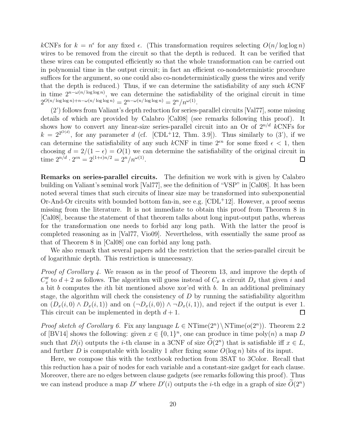kCNFs for  $k = n^{\epsilon}$  for any fixed  $\epsilon$ . (This transformation requires selecting  $O(n/\log \log n)$ wires to be removed from the circuit so that the depth is reduced. It can be verified that these wires can be computed efficiently so that the whole transformation can be carried out in polynomial time in the output circuit; in fact an efficient co-nondeterministic procedure suffices for the argument, so one could also co-nondeterministically guess the wires and verify that the depth is reduced.) Thus, if we can determine the satisfiability of any such  $k$ CNF in time  $2^{n-\omega(n/\log \log n)}$ , we can determine the satisfiability of the original circuit in time  $2^{O(n/\log\log n)+n-\omega(n/\log\log n)}=2^{n-\omega(n/\log\log n)}=2^n/n^{\omega(1)}.$ 

(2') follows from Valiant's depth reduction for series-parallel circuits [Val77], some missing details of which are provided by Calabro [Cal08] (see remarks following this proof). It shows how to convert any linear-size series-parallel circuit into an Or of  $2^{n/d}$  kCNFs for  $k = 2^{2^{O(d)}}$ , for any parameter d (cf. [CDL<sup>+</sup>12, Thm. 3.9]). Thus similarly to (3'), if we can determine the satisfiability of any such kCNF in time  $2<sup>en</sup>$  for some fixed  $\epsilon < 1$ , then choosing  $d = 2/(1 - \epsilon) = O(1)$  we can determine the satisfiability of the original circuit in time  $2^{n/d} \cdot 2^{\epsilon n} = 2^{(1+\epsilon)n/2} = 2^n/n^{\omega(1)}$ .  $\Box$ 

Remarks on series-parallel circuits. The definition we work with is given by Calabro building on Valiant's seminal work [Val77], see the definition of "VSP" in [Cal08]. It has been noted several times that such circuits of linear size may be transformed into subexponential Or-And-Or circuits with bounded bottom fan-in, see e.g.  $[CDL+12]$ . However, a proof seems missing from the literature. It is not immediate to obtain this proof from Theorem 8 in [Cal08], because the statement of that theorem talks about long input-output paths, whereas for the transformation one needs to forbid any long path. With the latter the proof is completed reasoning as in [Val77, Vio09]. Nevertheless, with essentially the same proof as that of Theorem 8 in [Cal08] one can forbid any long path.

We also remark that several papers add the restriction that the series-parallel circuit be of logarithmic depth. This restriction is unnecessary.

*Proof of Corollary 4.* We reason as in the proof of Theorem 13, and improve the depth of  $C''_x$  to  $d+2$  as follows. The algorithm will guess instead of  $C_x$  a circuit  $D_x$  that given i and a bit  $b$  computes the *i*th bit mentioned above xor'ed with  $b$ . In an additional preliminary stage, the algorithm will check the consistency of  $D$  by running the satisfiability algorithm on  $(D_x(i,0) \wedge D_x(i,1))$  and on  $(\neg D_x(i,0)) \wedge \neg D_x(i,1))$ , and reject if the output is ever 1. This circuit can be implemented in depth  $d+1$ .  $\Box$ 

*Proof sketch of Corollary 6.* Fix any language  $L \in \text{NTime}(2^n) \setminus \text{NTime}(o(2^n))$ . Theorem 2.2 of [BV14] shows the following: given  $x \in \{0,1\}^n$ , one can produce in time poly $(n)$  a map D such that  $D(i)$  outputs the *i*-th clause in a 3CNF of size  $O(2<sup>n</sup>)$  that is satisfiable iff  $x \in L$ , and further D is computable with locality 1 after fixing some  $O(\log n)$  bits of its input.

Here, we compose this with the textbook reduction from 3SAT to 3Color. Recall that this reduction has a pair of nodes for each variable and a constant-size gadget for each clause. Moreover, there are no edges between clause gadgets (see remarks following this proof). Thus we can instead produce a map  $D'$  where  $D'(i)$  outputs the *i*-th edge in a graph of size  $O(2^n)$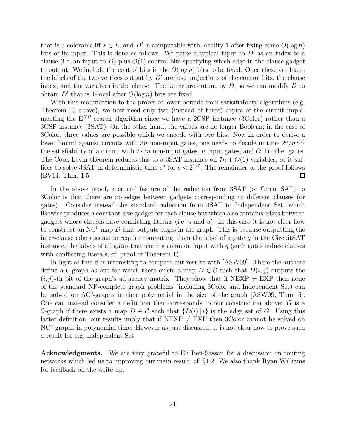that is 3-colorable iff  $x \in L$ , and D' is computable with locality 1 after fixing some  $O(\log n)$ bits of its input. This is done as follows. We parse a typical input to  $D'$  as an index to a clause (i.e. an input to  $D$ ) plus  $O(1)$  control bits specifying which edge in the clause gadget to output. We include the control bits in the  $O(\log n)$  bits to be fixed. Once these are fixed, the labels of the two vertices output by  $D'$  are just projections of the control bits, the clause index, and the variables in the clause. The latter are output by  $D$ , so we can modify  $D$  to obtain  $D'$  that is 1-local after  $O(\log n)$  bits are fixed.

With this modification to the proofs of lower bounds from satisifiability algorithms (e.g. Theorem 13 above), we now need only two (instead of three) copies of the circuit implementing the  $E^{NP}$  search algorithm since we have a 2CSP instance (3Color) rather than a 3CSP instance (3SAT). On the other hand, the values are no longer Boolean; in the case of 3Color, three values are possible which we encode with two bits. Now in order to derive a lower bound against circuits with 3n non-input gates, one needs to decide in time  $2^n/n^{\omega(1)}$ the satisfiability of a circuit with  $2 \cdot 3n$  non-input gates, n input gates, and  $O(1)$  other gates. The Cook-Levin theorem reduces this to a 3SAT instance on  $7n + O(1)$  variables, so it suffices to solve 3SAT in deterministic time  $c^n$  for  $c < 2^{1/7}$ . The remainder of the proof follows [BV14, Thm. 1.5].  $\Box$ 

In the above proof, a crucial feature of the reduction from 3SAT (or CircuitSAT) to 3Color is that there are no edges between gadgets corresponding to different clauses (or gates). Consider instead the standard reduction from 3SAT to Independent Set, which likewise produces a constant-size gadget for each clause but which also contains edges between gadgets whose clauses have conflicting literals (i.e. u and  $\overline{u}$ ). In this case it is not clear how to construct an  $NC^0$  map D that outputs edges in the graph. This is because outputting the inter-clause edges seems to require computing, from the label of a gate  $g$  in the CircuitSAT instance, the labels of all gates that share a common input with  $g$  (such gates induce clauses with conflicting literals, cf. proof of Theorem 1).

In light of this it is interesting to compare our results with [ASW09]. There the authors define a C-graph as one for which there exists a map  $D \in \mathcal{C}$  such that  $D(i, j)$  outputs the  $(i, j)$ -th bit of the graph's adjacency matrix. They show that if NEXP  $\neq$  EXP then none of the standard NP-complete graph problems (including 3Color and Independent Set) can be solved on  $AC^0$ -graphs in time polynomial in the size of the graph [ASW09, Thm. 5]. One can instead consider a definition that corresponds to our construction above: G is a C-graph if there exists a map  $D \in \mathcal{C}$  such that  $\{D(i) | i\}$  is the edge set of G. Using this latter definition, our results imply that if NEXP  $\neq$  EXP then 3Color cannot be solved on NC<sup>0</sup>-graphs in polynomial time. However as just discussed, it is not clear how to prove such a result for e.g. Independent Set.

Acknowledgments. We are very grateful to Eli Ben-Sasson for a discussion on routing networks which led us to improving our main result, cf. §1.2. We also thank Ryan Williams for feedback on the write-up.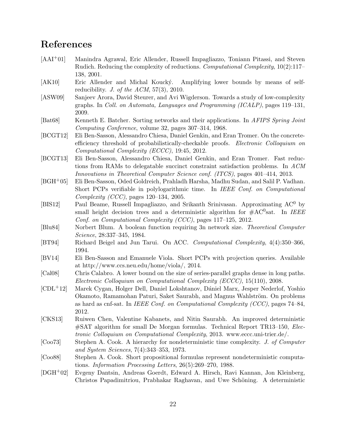# References

- [AAI+01] Manindra Agrawal, Eric Allender, Russell Impagliazzo, Toniann Pitassi, and Steven Rudich. Reducing the complexity of reductions. Computational Complexity, 10(2):117– 138, 2001.
- [AK10] Eric Allender and Michal Koucký. Amplifying lower bounds by means of selfreducibility. J. of the  $ACM$ , 57(3), 2010.
- [ASW09] Sanjeev Arora, David Steurer, and Avi Wigderson. Towards a study of low-complexity graphs. In Coll. on Automata, Languages and Programming (ICALP), pages 119–131, 2009.
- [Bat68] Kenneth E. Batcher. Sorting networks and their applications. In AFIPS Spring Joint Computing Conference, volume 32, pages 307–314, 1968.
- [BCGT12] Eli Ben-Sasson, Alessandro Chiesa, Daniel Genkin, and Eran Tromer. On the concreteefficiency threshold of probabilistically-checkable proofs. Electronic Colloquium on Computational Complexity (ECCC), 19:45, 2012.
- [BCGT13] Eli Ben-Sasson, Alessandro Chiesa, Daniel Genkin, and Eran Tromer. Fast reductions from RAMs to delegatable succinct constraint satisfaction problems. In ACM Innovations in Theoretical Computer Science conf. (ITCS), pages 401–414, 2013.
- [BGH+05] Eli Ben-Sasson, Oded Goldreich, Prahladh Harsha, Madhu Sudan, and Salil P. Vadhan. Short PCPs verifiable in polylogarithmic time. In IEEE Conf. on Computational Complexity (CCC), pages 120–134, 2005.
- [BIS12] Paul Beame, Russell Impagliazzo, and Srikanth Srinivasan. Approximating AC<sup>0</sup> by small height decision trees and a deterministic algorithm for  $#AC<sup>0</sup>$ sat. In IEEE Conf. on Computational Complexity (CCC), pages 117–125, 2012.
- [Blu84] Norbert Blum. A boolean function requiring 3n network size. Theoretical Computer Science, 28:337–345, 1984.
- [BT94] Richard Beigel and Jun Tarui. On ACC. Computational Complexity, 4(4):350–366, 1994.
- [BV14] Eli Ben-Sasson and Emanuele Viola. Short PCPs with projection queries. Available at http://www.ccs.neu.edu/home/viola/, 2014.
- [Cal08] Chris Calabro. A lower bound on the size of series-parallel graphs dense in long paths. Electronic Colloquium on Computational Complexity (ECCC), 15(110), 2008.
- [CDL+12] Marek Cygan, Holger Dell, Daniel Lokshtanov, D´aniel Marx, Jesper Nederlof, Yoshio Okamoto, Ramamohan Paturi, Saket Saurabh, and Magnus Wahlström. On problems as hard as cnf-sat. In IEEE Conf. on Computational Complexity (CCC), pages  $74-84$ , 2012.
- [CKS13] Ruiwen Chen, Valentine Kabanets, and Nitin Saurabh. An improved deterministic #SAT algorithm for small De Morgan formulas. Technical Report TR13–150, Electronic Colloquium on Computational Complexity, 2013. www.eccc.uni-trier.de/.
- [Coo73] Stephen A. Cook. A hierarchy for nondeterministic time complexity. J. of Computer and System Sciences, 7(4):343–353, 1973.
- [Coo88] Stephen A. Cook. Short propositional formulas represent nondeterministic computations. Information Processing Letters, 26(5):269–270, 1988.
- [DGH+02] Evgeny Dantsin, Andreas Goerdt, Edward A. Hirsch, Ravi Kannan, Jon Kleinberg, Christos Papadimitriou, Prabhakar Raghavan, and Uwe Schöning. A deterministic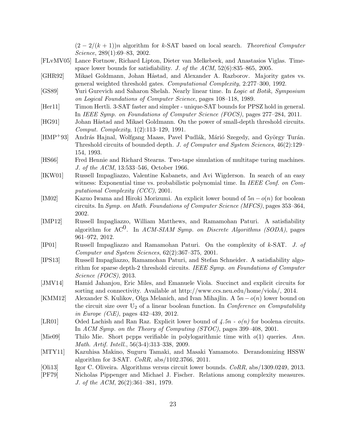$(2 - 2/(k+1))n$  algorithm for k-SAT based on local search. Theoretical Computer Science, 289(1):69–83, 2002.

- [FLvMV05] Lance Fortnow, Richard Lipton, Dieter van Melkebeek, and Anastasios Viglas. Timespace lower bounds for satisfiability. J. of the  $ACM$ ,  $52(6):835-865$ , 2005.
- [GHR92] Mikael Goldmann, Johan Håstad, and Alexander A. Razborov. Majority gates vs. general weighted threshold gates. Computational Complexity, 2:277–300, 1992.
- [GS89] Yuri Gurevich and Saharon Shelah. Nearly linear time. In Logic at Botik, Symposium on Logical Foundations of Computer Science, pages 108–118, 1989.
- [Her11] Timon Hertli. 3-SAT faster and simpler unique-SAT bounds for PPSZ hold in general. In IEEE Symp. on Foundations of Computer Science (FOCS), pages 277–284, 2011.
- [HG91] Johan Håstad and Mikael Goldmann. On the power of small-depth threshold circuits. Comput. Complexity, 1(2):113–129, 1991.
- $[HMP<sup>+</sup>93]$  András Hajnal, Wolfgang Maass, Pavel Pudlák, Márió Szegedy, and György Turán. Threshold circuits of bounded depth. J. of Computer and System Sciences, 46(2):129– 154, 1993.
- [HS66] Fred Hennie and Richard Stearns. Two-tape simulation of multitape turing machines. J. of the ACM, 13:533–546, October 1966.
- [IKW01] Russell Impagliazzo, Valentine Kabanets, and Avi Wigderson. In search of an easy witness: Exponential time vs. probabilistic polynomial time. In IEEE Conf. on Computational Complexity (CCC), 2001.
- [IM02] Kazuo Iwama and Hiroki Morizumi. An explicit lower bound of  $5n o(n)$  for boolean circuits. In Symp. on Math. Foundations of Computer Science (MFCS), pages 353–364, 2002.
- [IMP12] Russell Impagliazzo, William Matthews, and Ramamohan Paturi. A satisfiability algorithm for AC<sup>0</sup>. In ACM-SIAM Symp. on Discrete Algorithms (SODA), pages 961–972, 2012.
- [IP01] Russell Impagliazzo and Ramamohan Paturi. On the complexity of k-SAT. J. of Computer and System Sciences, 62(2):367–375, 2001.
- [IPS13] Russell Impagliazzo, Ramamohan Paturi, and Stefan Schneider. A satisfiability algorithm for sparse depth-2 threshold circuits. IEEE Symp. on Foundations of Computer Science (FOCS), 2013.
- [JMV14] Hamid Jahanjou, Eric Miles, and Emanuele Viola. Succinct and explicit circuits for sorting and connectivity. Available at http://www.ccs.neu.edu/home/viola/, 2014.
- [KMM12] Alexander S. Kulikov, Olga Melanich, and Ivan Mihajlin. A  $5n o(n)$  lower bound on the circuit size over  $U_2$  of a linear boolean function. In *Conference on Computability* in Europe (CiE), pages 432–439, 2012.
- [LR01] Oded Lachish and Ran Raz. Explicit lower bound of  $\mu$ .  $5n o(n)$  for boolena circuits. In ACM Symp. on the Theory of Computing (STOC), pages 399–408, 2001.
- [Mie09] Thilo Mie. Short pcpps verifiable in polylogarithmic time with  $o(1)$  queries. Ann. Math. Artif. Intell., 56(3-4):313–338, 2009.
- [MTY11] Kazuhisa Makino, Suguru Tamaki, and Masaki Yamamoto. Derandomizing HSSW algorithm for 3-SAT. CoRR, abs/1102.3766, 2011.
- [Oli13] Igor C. Oliveira. Algorithms versus circuit lower bounds. CoRR, abs/1309.0249, 2013.
- [PF79] Nicholas Pippenger and Michael J. Fischer. Relations among complexity measures. J. of the ACM, 26(2):361–381, 1979.